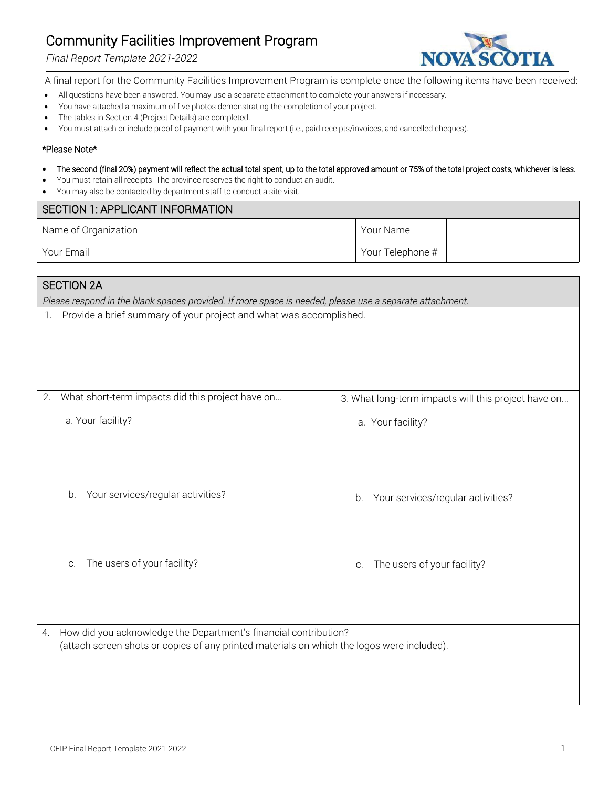# Community Facilities Improvement Program

#### *Final Report Template 2021-2022*



A final report for the Community Facilities Improvement Program is complete once the following items have been received:

- All questions have been answered. You may use a separate attachment to complete your answers if necessary.
- You have attached a maximum of five photos demonstrating the completion of your project.
- The tables in Section 4 (Project Details) are completed.
- You must attach or include proof of payment with your final report (i.e., paid receipts/invoices, and cancelled cheques).

#### \*Please Note\*

- The second (final 20%) payment will reflect the actual total spent, up to the total approved amount or 75% of the total project costs, whichever is less.
- You must retain all receipts. The province reserves the right to conduct an audit.
- You may also be contacted by department staff to conduct a site visit.

| SECTION 1: APPLICANT INFORMATION |  |                  |  |
|----------------------------------|--|------------------|--|
| Name of Organization             |  | Your Name        |  |
| Your Email                       |  | Your Telephone # |  |

### SECTION 2A

*Please respond in the blank spaces provided. If more space is needed, please use a separate attachment.*

1. Provide a brief summary of your project and what was accomplished.

| 2. | What short-term impacts did this project have on                                                                                                               | 3. What long-term impacts will this project have on |
|----|----------------------------------------------------------------------------------------------------------------------------------------------------------------|-----------------------------------------------------|
|    | a. Your facility?                                                                                                                                              | a. Your facility?                                   |
|    | Your services/regular activities?<br>b.                                                                                                                        | Your services/regular activities?<br>b.             |
|    | The users of your facility?<br>C.                                                                                                                              | The users of your facility?<br>C.                   |
| 4. | How did you acknowledge the Department's financial contribution?<br>(attach screen shots or copies of any printed materials on which the logos were included). |                                                     |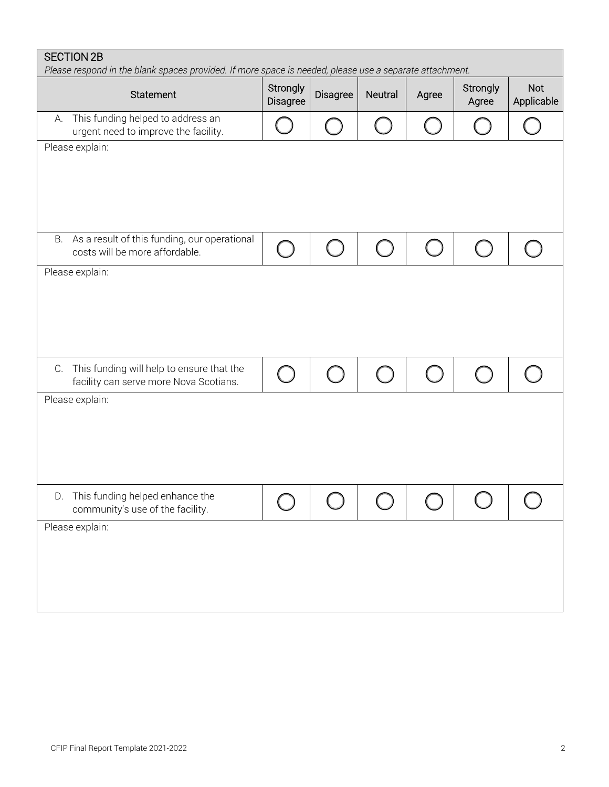| <b>SECTION 2B</b><br>Please respond in the blank spaces provided. If more space is needed, please use a separate attachment. |                      |          |                |       |                   |                          |
|------------------------------------------------------------------------------------------------------------------------------|----------------------|----------|----------------|-------|-------------------|--------------------------|
| Statement                                                                                                                    | Strongly<br>Disagree | Disagree | <b>Neutral</b> | Agree | Strongly<br>Agree | <b>Not</b><br>Applicable |
| This funding helped to address an<br>А.<br>urgent need to improve the facility.                                              |                      |          |                |       |                   |                          |
| Please explain:                                                                                                              |                      |          |                |       |                   |                          |
| As a result of this funding, our operational<br>В.<br>costs will be more affordable.                                         |                      |          |                |       |                   |                          |
| Please explain:                                                                                                              |                      |          |                |       |                   |                          |
| C. This funding will help to ensure that the<br>facility can serve more Nova Scotians.                                       |                      |          |                |       |                   |                          |
| Please explain:                                                                                                              |                      |          |                |       |                   |                          |
| D.<br>This funding helped enhance the<br>community's use of the facility.                                                    |                      |          |                |       |                   |                          |
| Please explain:                                                                                                              |                      |          |                |       |                   |                          |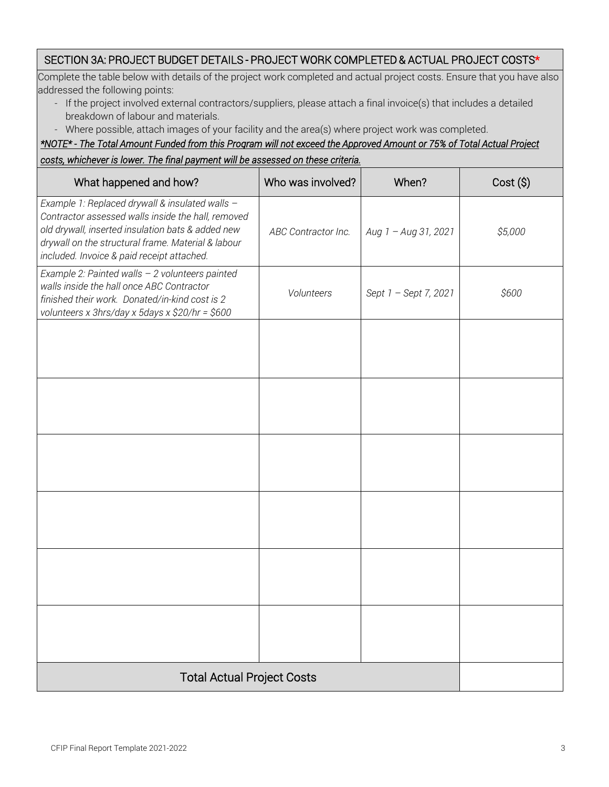# SECTION 3A: PROJECT BUDGET DETAILS - PROJECT WORK COMPLETED & ACTUAL PROJECT COSTS\*

Complete the table below with details of the project work completed and actual project costs. Ensure that you have also addressed the following points:

- If the project involved external contractors/suppliers, please attach a final invoice(s) that includes a detailed breakdown of labour and materials.
- Where possible, attach images of your facility and the area(s) where project work was completed.

*\*NOTE\* - The Total Amount Funded from this Program will not exceed the Approved Amount or 75% of Total Actual Project costs, whichever is lower. The final payment will be assessed on these criteria.*

| What happened and how?                                                                                                                                                                                                                                         | Who was involved?   | When?                 | Cost (\$) |
|----------------------------------------------------------------------------------------------------------------------------------------------------------------------------------------------------------------------------------------------------------------|---------------------|-----------------------|-----------|
| Example 1: Replaced drywall & insulated walls -<br>Contractor assessed walls inside the hall, removed<br>old drywall, inserted insulation bats & added new<br>drywall on the structural frame. Material & labour<br>included. Invoice & paid receipt attached. | ABC Contractor Inc. | Aug 1 - Aug 31, 2021  | \$5,000   |
| Example 2: Painted walls - 2 volunteers painted<br>walls inside the hall once ABC Contractor<br>finished their work. Donated/in-kind cost is 2<br>volunteers x 3hrs/day x 5days x \$20/hr = \$600                                                              | Volunteers          | Sept 1 - Sept 7, 2021 | \$600     |
|                                                                                                                                                                                                                                                                |                     |                       |           |
|                                                                                                                                                                                                                                                                |                     |                       |           |
|                                                                                                                                                                                                                                                                |                     |                       |           |
|                                                                                                                                                                                                                                                                |                     |                       |           |
|                                                                                                                                                                                                                                                                |                     |                       |           |
|                                                                                                                                                                                                                                                                |                     |                       |           |
| <b>Total Actual Project Costs</b>                                                                                                                                                                                                                              |                     |                       |           |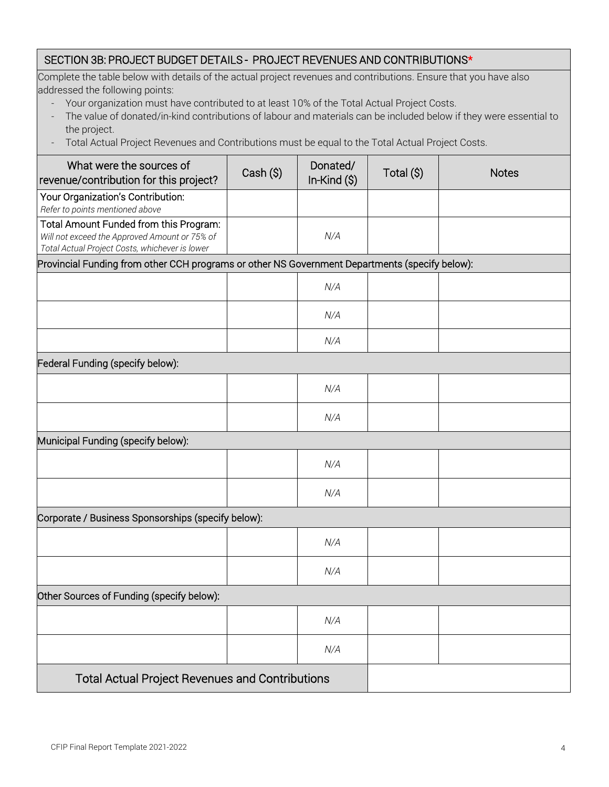## SECTION 3B: PROJECT BUDGET DETAILS - PROJECT REVENUES AND CONTRIBUTIONS\*

Complete the table below with details of the actual project revenues and contributions. Ensure that you have also addressed the following points:

- Your organization must have contributed to at least 10% of the Total Actual Project Costs.
- The value of donated/in-kind contributions of labour and materials can be included below if they were essential to the project.
- Total Actual Project Revenues and Contributions must be equal to the Total Actual Project Costs.

| What were the sources of<br>revenue/contribution for this project?                                                                        | Cash (\$) | Donated/<br>In-Kind $(\$)$ | Total (\$) | <b>Notes</b> |  |  |
|-------------------------------------------------------------------------------------------------------------------------------------------|-----------|----------------------------|------------|--------------|--|--|
| Your Organization's Contribution:<br>Refer to points mentioned above                                                                      |           |                            |            |              |  |  |
| Total Amount Funded from this Program:<br>Will not exceed the Approved Amount or 75% of<br>Total Actual Project Costs, whichever is lower |           | N/A                        |            |              |  |  |
| Provincial Funding from other CCH programs or other NS Government Departments (specify below):                                            |           |                            |            |              |  |  |
|                                                                                                                                           |           | N/A                        |            |              |  |  |
|                                                                                                                                           |           | N/A                        |            |              |  |  |
|                                                                                                                                           |           | N/A                        |            |              |  |  |
| Federal Funding (specify below):                                                                                                          |           |                            |            |              |  |  |
|                                                                                                                                           |           | N/A                        |            |              |  |  |
|                                                                                                                                           |           | N/A                        |            |              |  |  |
| Municipal Funding (specify below):                                                                                                        |           |                            |            |              |  |  |
|                                                                                                                                           |           | N/A                        |            |              |  |  |
|                                                                                                                                           |           | N/A                        |            |              |  |  |
| Corporate / Business Sponsorships (specify below):                                                                                        |           |                            |            |              |  |  |
|                                                                                                                                           |           | N/A                        |            |              |  |  |
|                                                                                                                                           |           | N/A                        |            |              |  |  |
| Other Sources of Funding (specify below):                                                                                                 |           |                            |            |              |  |  |
|                                                                                                                                           |           | N/A                        |            |              |  |  |
|                                                                                                                                           |           | N/A                        |            |              |  |  |
| <b>Total Actual Project Revenues and Contributions</b>                                                                                    |           |                            |            |              |  |  |